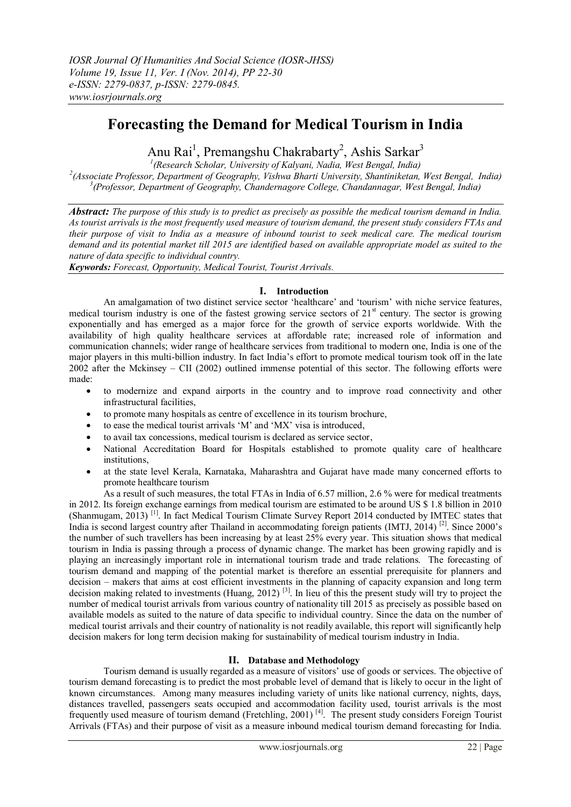# **Forecasting the Demand for Medical Tourism in India**

Anu Rai<sup>1</sup>, Premangshu Chakrabarty<sup>2</sup>, Ashis Sarkar<sup>3</sup>

*1 (Research Scholar, University of Kalyani, Nadia, West Bengal, India) 2 (Associate Professor, Department of Geography, Vishwa Bharti University, Shantiniketan, West Bengal, India) 3 (Professor, Department of Geography, Chandernagore College, Chandannagar, West Bengal, India)*

*Abstract: The purpose of this study is to predict as precisely as possible the medical tourism demand in India. As tourist arrivals is the most frequently used measure of tourism demand, the present study considers FTAs and their purpose of visit to India as a measure of inbound tourist to seek medical care. The medical tourism demand and its potential market till 2015 are identified based on available appropriate model as suited to the nature of data specific to individual country.*

*Keywords: Forecast, Opportunity, Medical Tourist, Tourist Arrivals.*

## **I. Introduction**

An amalgamation of two distinct service sector 'healthcare' and 'tourism' with niche service features, medical tourism industry is one of the fastest growing service sectors of 21<sup>st</sup> century. The sector is growing exponentially and has emerged as a major force for the growth of service exports worldwide. With the availability of high quality healthcare services at affordable rate; increased role of information and communication channels; wider range of healthcare services from traditional to modern one, India is one of the major players in this multi-billion industry. In fact India's effort to promote medical tourism took off in the late 2002 after the Mckinsey – CII (2002) outlined immense potential of this sector. The following efforts were made:

- to modernize and expand airports in the country and to improve road connectivity and other infrastructural facilities,
- to promote many hospitals as centre of excellence in its tourism brochure,
- to ease the medical tourist arrivals 'M' and 'MX' visa is introduced,
- to avail tax concessions, medical tourism is declared as service sector,
- National Accreditation Board for Hospitals established to promote quality care of healthcare institutions,
- at the state level Kerala, Karnataka, Maharashtra and Gujarat have made many concerned efforts to promote healthcare tourism

As a result of such measures, the total FTAs in India of 6.57 million, 2.6 % were for medical treatments in 2012. Its foreign exchange earnings from medical tourism are estimated to be around US \$ 1.8 billion in 2010 (Shanmugam, 2013) [1]. In fact Medical Tourism Climate Survey Report 2014 conducted by IMTEC states that India is second largest country after Thailand in accommodating foreign patients (IMTJ, 2014) [2]. Since 2000's the number of such travellers has been increasing by at least 25% every year. This situation shows that medical tourism in India is passing through a process of dynamic change. The market has been growing rapidly and is playing an increasingly important role in international tourism trade and trade relations. The forecasting of tourism demand and mapping of the potential market is therefore an essential prerequisite for planners and decision – makers that aims at cost efficient investments in the planning of capacity expansion and long term decision making related to investments (Huang, 2012)<sup>[3]</sup>. In lieu of this the present study will try to project the number of medical tourist arrivals from various country of nationality till 2015 as precisely as possible based on available models as suited to the nature of data specific to individual country. Since the data on the number of medical tourist arrivals and their country of nationality is not readily available, this report will significantly help decision makers for long term decision making for sustainability of medical tourism industry in India.

# **II. Database and Methodology**

Tourism demand is usually regarded as a measure of visitors' use of goods or services. The objective of tourism demand forecasting is to predict the most probable level of demand that is likely to occur in the light of known circumstances. Among many measures including variety of units like national currency, nights, days, distances travelled, passengers seats occupied and accommodation facility used, tourist arrivals is the most frequently used measure of tourism demand (Fretchling, 2001) [4]. The present study considers Foreign Tourist Arrivals (FTAs) and their purpose of visit as a measure inbound medical tourism demand forecasting for India.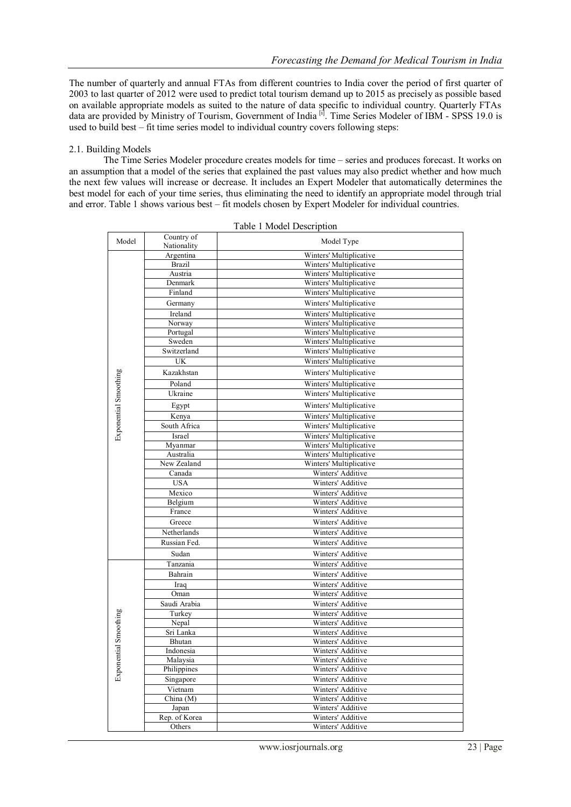The number of quarterly and annual FTAs from different countries to India cover the period of first quarter of 2003 to last quarter of 2012 were used to predict total tourism demand up to 2015 as precisely as possible based on available appropriate models as suited to the nature of data specific to individual country. Quarterly FTAs data are provided by Ministry of Tourism, Government of India<sup>[i]</sup>. Time Series Modeler of IBM - SPSS 19.0 is used to build best – fit time series model to individual country covers following steps:

#### 2.1. Building Models

The Time Series Modeler procedure creates models for time – series and produces forecast. It works on an assumption that a model of the series that explained the past values may also predict whether and how much the next few values will increase or decrease. It includes an Expert Modeler that automatically determines the best model for each of your time series, thus eliminating the need to identify an appropriate model through trial and error. Table 1 shows various best – fit models chosen by Expert Modeler for individual countries.

| Model                 | Country of<br>Nationality | Model Type              |  |  |
|-----------------------|---------------------------|-------------------------|--|--|
|                       | Argentina                 | Winters' Multiplicative |  |  |
|                       | <b>Brazil</b>             | Winters' Multiplicative |  |  |
|                       | Austria                   | Winters' Multiplicative |  |  |
|                       | Denmark                   | Winters' Multiplicative |  |  |
|                       | Finland                   | Winters' Multiplicative |  |  |
|                       | Germany                   | Winters' Multiplicative |  |  |
|                       | Ireland                   | Winters' Multiplicative |  |  |
|                       | Norway                    | Winters' Multiplicative |  |  |
|                       | Portugal                  | Winters' Multiplicative |  |  |
|                       | Sweden                    | Winters' Multiplicative |  |  |
|                       | Switzerland               | Winters' Multiplicative |  |  |
|                       | UK                        | Winters' Multiplicative |  |  |
|                       | Kazakhstan                | Winters' Multiplicative |  |  |
|                       | Poland                    | Winters' Multiplicative |  |  |
|                       | Ukraine                   | Winters' Multiplicative |  |  |
| Exponential Smoothing | Egypt                     | Winters' Multiplicative |  |  |
|                       | Kenya                     | Winters' Multiplicative |  |  |
|                       | South Africa              | Winters' Multiplicative |  |  |
|                       | Israel                    | Winters' Multiplicative |  |  |
|                       | Myanmar                   | Winters' Multiplicative |  |  |
|                       | Australia                 | Winters' Multiplicative |  |  |
|                       | New Zealand               | Winters' Multiplicative |  |  |
|                       | Canada                    | Winters' Additive       |  |  |
|                       | <b>USA</b>                | Winters' Additive       |  |  |
|                       | Mexico                    | Winters' Additive       |  |  |
|                       | Belgium                   | Winters' Additive       |  |  |
|                       | France                    | Winters' Additive       |  |  |
|                       | Greece                    | Winters' Additive       |  |  |
|                       | Netherlands               | Winters' Additive       |  |  |
|                       | Russian Fed.              | Winters' Additive       |  |  |
|                       | Sudan                     | Winters' Additive       |  |  |
|                       | Tanzania                  | Winters' Additive       |  |  |
|                       | Bahrain                   | Winters' Additive       |  |  |
|                       | Iraq                      | Winters' Additive       |  |  |
|                       | Oman                      | Winters' Additive       |  |  |
|                       | Saudi Arabia              | Winters' Additive       |  |  |
|                       | Turkey                    | Winters' Additive       |  |  |
|                       | Nepal                     | Winters' Additive       |  |  |
|                       | Sri Lanka                 | Winters' Additive       |  |  |
|                       | Bhutan                    | Winters' Additive       |  |  |
| Exponential Smoothing | Indonesia                 | Winters' Additive       |  |  |
|                       | Malaysia                  | Winters' Additive       |  |  |
|                       | Philippines               | Winters' Additive       |  |  |
|                       | Singapore                 | Winters' Additive       |  |  |
|                       | Vietnam                   | Winters' Additive       |  |  |
|                       | China (M)                 | Winters' Additive       |  |  |
|                       | Japan                     | Winters' Additive       |  |  |
|                       | Rep. of Korea             | Winters' Additive       |  |  |
|                       | Others                    | Winters' Additive       |  |  |

Table 1 Model Description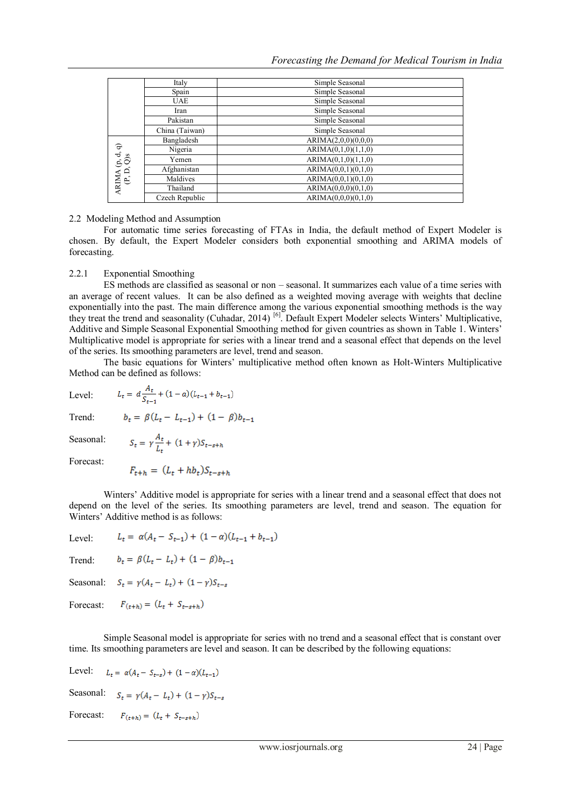|                                    | Italy          | Simple Seasonal     |  |  |  |  |
|------------------------------------|----------------|---------------------|--|--|--|--|
|                                    | Spain          | Simple Seasonal     |  |  |  |  |
|                                    | <b>UAE</b>     | Simple Seasonal     |  |  |  |  |
|                                    | Iran           | Simple Seasonal     |  |  |  |  |
|                                    | Pakistan       | Simple Seasonal     |  |  |  |  |
|                                    | China (Taiwan) | Simple Seasonal     |  |  |  |  |
| ARIMA $(p, d, q)$<br>$(P, D, Q)$ s | Bangladesh     | ARIMA(2,0,0)(0,0,0) |  |  |  |  |
|                                    | Nigeria        | ARIMA(0,1,0)(1,1,0) |  |  |  |  |
|                                    | Yemen          | ARIMA(0,1,0)(1,1,0) |  |  |  |  |
|                                    | Afghanistan    | ARIMA(0,0,1)(0,1,0) |  |  |  |  |
|                                    | Maldives       | ARIMA(0,0,1)(0,1,0) |  |  |  |  |
|                                    | Thailand       | ARIMA(0,0,0)(0,1,0) |  |  |  |  |
|                                    | Czech Republic | ARIMA(0,0,0)(0,1,0) |  |  |  |  |

#### 2.2 Modeling Method and Assumption

For automatic time series forecasting of FTAs in India, the default method of Expert Modeler is chosen. By default, the Expert Modeler considers both exponential smoothing and ARIMA models of forecasting.

#### 2.2.1 Exponential Smoothing

ES methods are classified as seasonal or non – seasonal. It summarizes each value of a time series with an average of recent values. It can be also defined as a weighted moving average with weights that decline exponentially into the past. The main difference among the various exponential smoothing methods is the way they treat the trend and seasonality (Cuhadar, 2014)<sup>[6]</sup>. Default Expert Modeler selects Winters' Multiplicative, Additive and Simple Seasonal Exponential Smoothing method for given countries as shown in Table 1. Winters' Multiplicative model is appropriate for series with a linear trend and a seasonal effect that depends on the level of the series. Its smoothing parameters are level, trend and season.

The basic equations for Winters' multiplicative method often known as Holt-Winters Multiplicative Method can be defined as follows:

Level:

$$
L_t = d \frac{A_t}{S_{t-1}} + (1 - a)(L_{t-1} + b_{t-1})
$$

Trend:

$$
b_t = \beta (L_t - L_{t-1}) + (1 - \beta) b_{t-1}
$$

Seasonal:

$$
S_t = \gamma \frac{A_t}{L_t} + (1 + \gamma) S_{t-s+h}
$$

Forecast:

$$
F_{t+h} = (L_t + hb_t)S_{t-s+i}
$$

Winters' Additive model is appropriate for series with a linear trend and a seasonal effect that does not depend on the level of the series. Its smoothing parameters are level, trend and season. The equation for Winters' Additive method is as follows:

 $L_t = \alpha(A_t - S_{t-1}) + (1 - \alpha)(L_{t-1} + b_{t-1})$ Level:

Trend: 
$$
b_t = \beta (L_t - L_t) + (1 - \beta) b_{t-1}
$$

Seasonal:  $S_t = \gamma(A_t - L_t) + (1 - \gamma)S_{t-s}$ 

$$
Forecast: \qquad F_{(t+h)} = (L_t + S_{t-s+h})
$$

Simple Seasonal model is appropriate for series with no trend and a seasonal effect that is constant over time. Its smoothing parameters are level and season. It can be described by the following equations:

Level:  $L_t = \alpha(A_t - S_{t-s}) + (1 - \alpha)(L_{t-1})$ Seasonal:  $S_t = \gamma(A_t - L_t) + (1 - \gamma)S_{t-s}$ Forecast: $F_{(t+h)} = (L_t + S_{t-s+h})$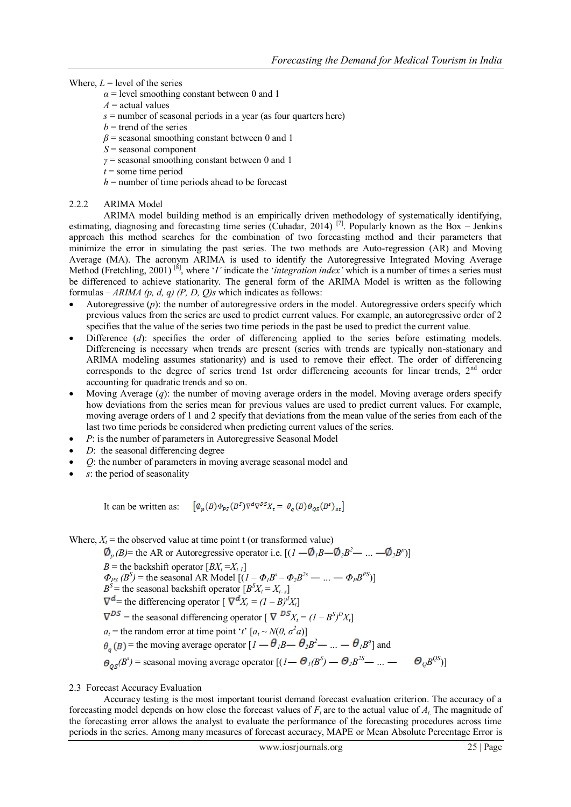#### Where,  $L =$  level of the series

- $\alpha$  = level smoothing constant between 0 and 1
- $A =$  actual values
- *s* = number of seasonal periods in a year (as four quarters here)
- $b =$  trend of the series
- $\beta$  = seasonal smoothing constant between 0 and 1
- *S* = seasonal component
- *γ* = seasonal smoothing constant between 0 and 1
- $t =$ some time period
- $h$  = number of time periods ahead to be forecast

#### 2.2.2 ARIMA Model

ARIMA model building method is an empirically driven methodology of systematically identifying, estimating, diagnosing and forecasting time series (Cuhadar, 2014)<sup>[7]</sup>. Popularly known as the Box – Jenkins approach this method searches for the combination of two forecasting method and their parameters that minimize the error in simulating the past series. The two methods are Auto-regression (AR) and Moving Average (MA). The acronym ARIMA is used to identify the Autoregressive Integrated Moving Average Method (Fretchling, 2001)<sup>[8]</sup>, where '*I*' indicate the '*integration index*' which is a number of times a series must be differenced to achieve stationarity. The general form of the ARIMA Model is written as the following formulas – *ARIMA (p, d, q) (P, D, Q)s* which indicates as follows:

- Autoregressive (*p*): the number of autoregressive orders in the model. Autoregressive orders specify which previous values from the series are used to predict current values. For example, an autoregressive order of 2 specifies that the value of the series two time periods in the past be used to predict the current value.
- Difference (*d*): specifies the order of differencing applied to the series before estimating models. Differencing is necessary when trends are present (series with trends are typically non-stationary and ARIMA modeling assumes stationarity) and is used to remove their effect. The order of differencing corresponds to the degree of series trend 1st order differencing accounts for linear trends,  $2<sup>nd</sup>$  order accounting for quadratic trends and so on.
- Moving Average (*q*): the number of moving average orders in the model. Moving average orders specify how deviations from the series mean for previous values are used to predict current values. For example, moving average orders of 1 and 2 specify that deviations from the mean value of the series from each of the last two time periods be considered when predicting current values of the series.
- *P*: is the number of parameters in Autoregressive Seasonal Model
- *D*: the seasonal differencing degree
- *Q*: the number of parameters in moving average seasonal model and
- *s*: the period of seasonality

It can be written as:  $\left[ \emptyset_n(B) \phi_{ps}(B^S) \nabla^d \nabla^{DS} X_t = \theta_a(B) \Theta_{os}(B^s)_{at} \right]$ 

Where,  $X_t$  = the observed value at time point t (or transformed value)

 $p_p(B)$ = the AR or Autoregressive operator i.e.  $[(1 - \Phi_1 B - \Phi_2 B^2 - ... - \Phi_2 B^p)]$ *B* = the backshift operator  $[BX_t = X_{t-1}]$  $\Phi_{PS}(B^S) = \text{the seasonal AR Model } [(I - \Phi_I B^S - \Phi_2 B^{2s} - \dots - \Phi_P B^{PS})]$  $B^S$  = the seasonal backshift operator  $[B^S X_t = X_t \cdot s]$  $\nabla$ <sup>*d*</sup> = the differencing operator  $\left[ \nabla$ <sup>*d*</sup>*Xt*</sub> =  $(1 - B)^d$ *X<sub>t</sub>*] = the seasonal differencing operator  $\left[ \nabla \frac{DS}{X_t} = (1 - B^S)^D X_t \right]$  $a_t$  = the random error at time point '*t*'  $[a_t \sim N(0, \sigma^2 a)]$ = the moving average operator  $[I - \theta_I B - \theta_2 B^2 - ... - \theta_I B^q]$  and  $(B^{s})$  = seasonal moving average operator  $[(I - \Theta_{I}(B^{S}) - \Theta_{2}B^{2S} - ... - \Theta_{Q}B^{Q}]$  $\theta$ <sub> $0$ </sub> $B^{QS}$ 

#### 2.3 Forecast Accuracy Evaluation

Accuracy testing is the most important tourist demand forecast evaluation criterion. The accuracy of a forecasting model depends on how close the forecast values of *F<sup>t</sup>* are to the actual value of *At.* The magnitude of the forecasting error allows the analyst to evaluate the performance of the forecasting procedures across time periods in the series. Among many measures of forecast accuracy, MAPE or Mean Absolute Percentage Error is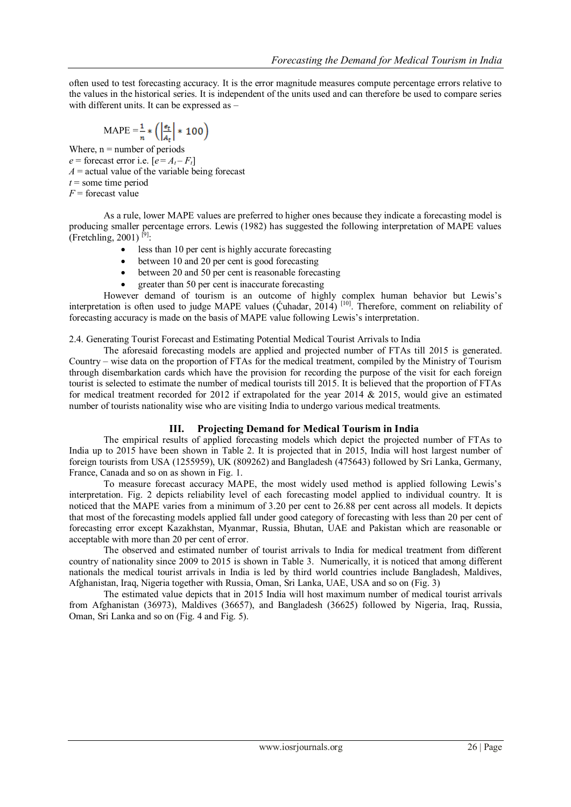often used to test forecasting accuracy. It is the error magnitude measures compute percentage errors relative to the values in the historical series. It is independent of the units used and can therefore be used to compare series with different units. It can be expressed as -

$$
MAPE = \frac{1}{n} * \left( \left| \frac{\epsilon_t}{A_t} \right| * 100 \right)
$$

Where,  $n =$  number of periods  $e =$  forecast error i.e.  $[e = A_t - F_t]$  $A =$  actual value of the variable being forecast  $t =$ some time period *F* = forecast value

As a rule, lower MAPE values are preferred to higher ones because they indicate a forecasting model is producing smaller percentage errors. Lewis (1982) has suggested the following interpretation of MAPE values  $($  Fretchling, 2001)<sup>[9]</sup>:

- less than 10 per cent is highly accurate forecasting
- between 10 and 20 per cent is good forecasting
- between 20 and 50 per cent is reasonable forecasting
- greater than 50 per cent is inaccurate forecasting

However demand of tourism is an outcome of highly complex human behavior but Lewis's interpretation is often used to judge MAPE values ( $\acute{C}$ uhadar, 2014)<sup>[10]</sup>. Therefore, comment on reliability of forecasting accuracy is made on the basis of MAPE value following Lewis's interpretation.

2.4. Generating Tourist Forecast and Estimating Potential Medical Tourist Arrivals to India

The aforesaid forecasting models are applied and projected number of FTAs till 2015 is generated. Country – wise data on the proportion of FTAs for the medical treatment, compiled by the Ministry of Tourism through disembarkation cards which have the provision for recording the purpose of the visit for each foreign tourist is selected to estimate the number of medical tourists till 2015. It is believed that the proportion of FTAs for medical treatment recorded for 2012 if extrapolated for the year 2014  $\&$  2015, would give an estimated number of tourists nationality wise who are visiting India to undergo various medical treatments.

### **III. Projecting Demand for Medical Tourism in India**

The empirical results of applied forecasting models which depict the projected number of FTAs to India up to 2015 have been shown in Table 2. It is projected that in 2015, India will host largest number of foreign tourists from USA (1255959), UK (809262) and Bangladesh (475643) followed by Sri Lanka, Germany, France, Canada and so on as shown in Fig. 1.

To measure forecast accuracy MAPE, the most widely used method is applied following Lewis's interpretation. Fig. 2 depicts reliability level of each forecasting model applied to individual country. It is noticed that the MAPE varies from a minimum of 3.20 per cent to 26.88 per cent across all models. It depicts that most of the forecasting models applied fall under good category of forecasting with less than 20 per cent of forecasting error except Kazakhstan, Myanmar, Russia, Bhutan, UAE and Pakistan which are reasonable or acceptable with more than 20 per cent of error.

The observed and estimated number of tourist arrivals to India for medical treatment from different country of nationality since 2009 to 2015 is shown in Table 3. Numerically, it is noticed that among different nationals the medical tourist arrivals in India is led by third world countries include Bangladesh, Maldives, Afghanistan, Iraq, Nigeria together with Russia, Oman, Sri Lanka, UAE, USA and so on (Fig. 3)

The estimated value depicts that in 2015 India will host maximum number of medical tourist arrivals from Afghanistan (36973), Maldives (36657), and Bangladesh (36625) followed by Nigeria, Iraq, Russia, Oman, Sri Lanka and so on (Fig. 4 and Fig. 5).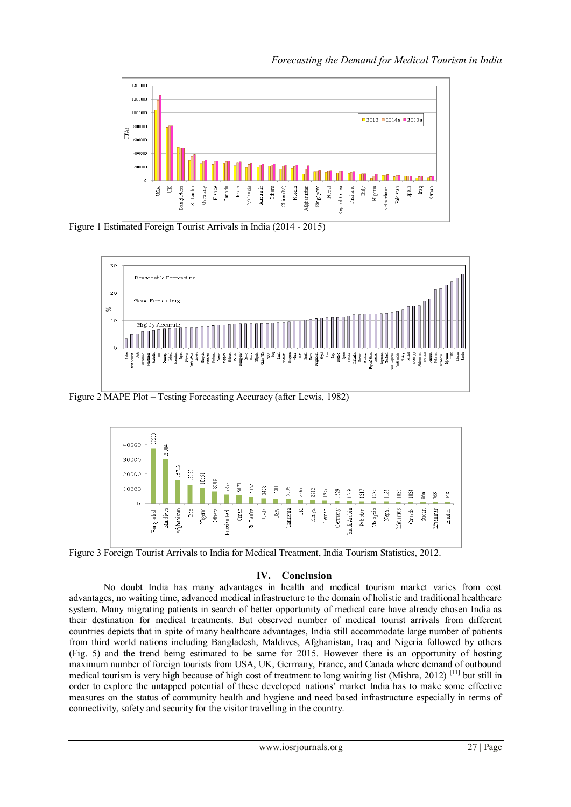

Figure 1 Estimated Foreign Tourist Arrivals in India (2014 - 2015)



Figure 2 MAPE Plot – Testing Forecasting Accuracy (after Lewis, 1982)



Figure 3 Foreign Tourist Arrivals to India for Medical Treatment, India Tourism Statistics, 2012.

# **IV. Conclusion**

No doubt India has many advantages in health and medical tourism market varies from cost advantages, no waiting time, advanced medical infrastructure to the domain of holistic and traditional healthcare system. Many migrating patients in search of better opportunity of medical care have already chosen India as their destination for medical treatments. But observed number of medical tourist arrivals from different countries depicts that in spite of many healthcare advantages, India still accommodate large number of patients from third world nations including Bangladesh, Maldives, Afghanistan, Iraq and Nigeria followed by others (Fig. 5) and the trend being estimated to be same for 2015. However there is an opportunity of hosting maximum number of foreign tourists from USA, UK, Germany, France, and Canada where demand of outbound medical tourism is very high because of high cost of treatment to long waiting list (Mishra, 2012)<sup>[11]</sup> but still in order to explore the untapped potential of these developed nations' market India has to make some effective measures on the status of community health and hygiene and need based infrastructure especially in terms of connectivity, safety and security for the visitor travelling in the country.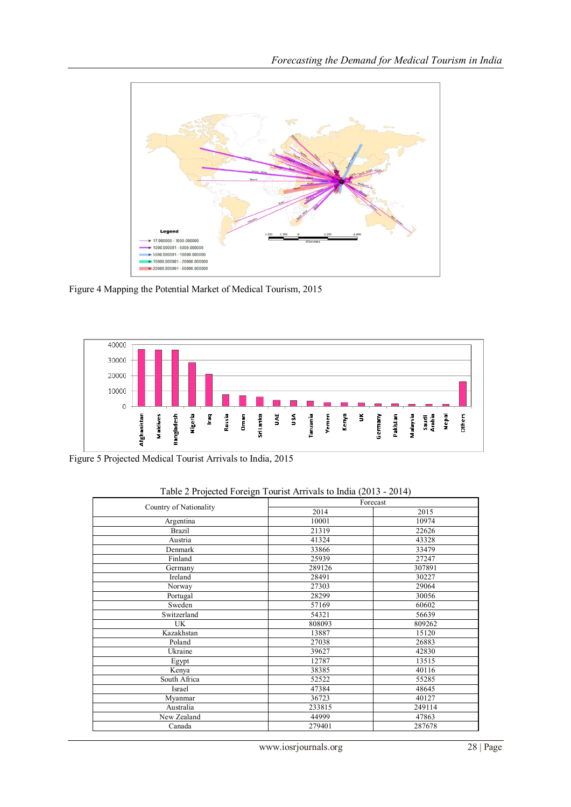

Figure 4 Mapping the Potential Market of Medical Tourism, 2015



Figure 5 Projected Medical Tourist Arrivals to India, 2015

|                        | Forecast |        |  |  |
|------------------------|----------|--------|--|--|
| Country of Nationality | 2014     | 2015   |  |  |
| Argentina              | 10001    | 10974  |  |  |
| <b>Brazil</b>          | 21319    | 22626  |  |  |
| Austria                | 41324    | 43328  |  |  |
| Denmark                | 33866    | 33479  |  |  |
| Finland                | 25939    | 27247  |  |  |
| Germany                | 289126   | 307891 |  |  |
| Ireland                | 28491    | 30227  |  |  |
| Norway                 | 27303    | 29064  |  |  |
| Portugal               | 28299    | 30056  |  |  |
| Sweden                 | 57169    | 60602  |  |  |
| Switzerland            | 54321    | 56639  |  |  |
| UK                     | 808093   | 809262 |  |  |
| Kazakhstan             | 13887    | 15120  |  |  |
| Poland                 | 27038    | 26883  |  |  |
| Ukraine                | 39627    | 42830  |  |  |
| Egypt                  | 12787    | 13515  |  |  |
| Kenya                  | 38385    | 40116  |  |  |
| South Africa           | 52522    | 55285  |  |  |
| Israel                 | 47384    | 48645  |  |  |
| Myanmar                | 36723    | 40127  |  |  |
| Australia              | 233815   | 249114 |  |  |
| New Zealand            | 44999    | 47863  |  |  |
| Canada                 | 279401   | 287678 |  |  |

## Table 2 Projected Foreign Tourist Arrivals to India (2013 - 2014)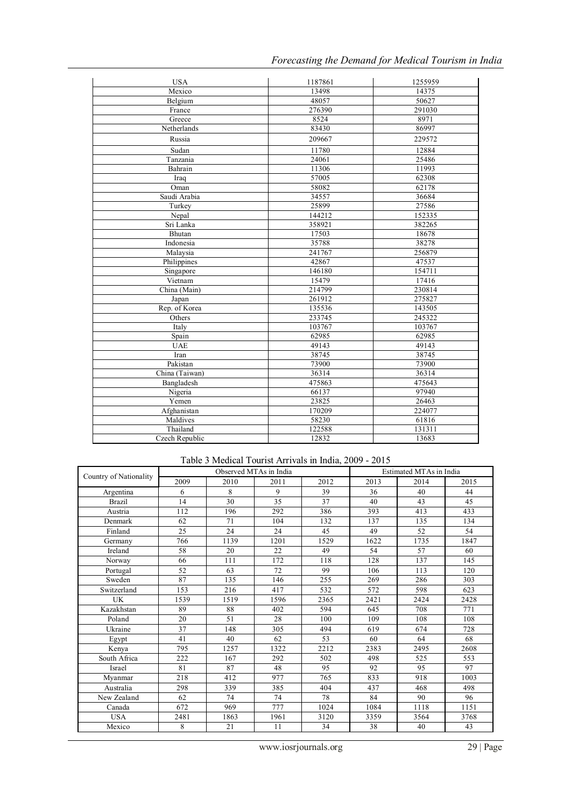| Forecasting the Demand for Medical Tourism in India |  |  |  |  |
|-----------------------------------------------------|--|--|--|--|
|                                                     |  |  |  |  |

| <b>USA</b>     | 1187861 | 1255959 |
|----------------|---------|---------|
| Mexico         | 13498   | 14375   |
| Belgium        | 48057   | 50627   |
| France         | 276390  | 291030  |
| Greece         | 8524    | 8971    |
| Netherlands    | 83430   | 86997   |
| Russia         | 209667  | 229572  |
| Sudan          | 11780   | 12884   |
| Tanzania       | 24061   | 25486   |
| Bahrain        | 11306   | 11993   |
| Iraq           | 57005   | 62308   |
| Oman           | 58082   | 62178   |
| Saudi Arabia   | 34557   | 36684   |
| Turkey         | 25899   | 27586   |
| Nepal          | 144212  | 152335  |
| Sri Lanka      | 358921  | 382265  |
| Bhutan         | 17503   | 18678   |
| Indonesia      | 35788   | 38278   |
| Malaysia       | 241767  | 256879  |
| Philippines    | 42867   | 47537   |
| Singapore      | 146180  | 154711  |
| Vietnam        | 15479   | 17416   |
| China (Main)   | 214799  | 230814  |
| Japan          | 261912  | 275827  |
| Rep. of Korea  | 135536  | 143505  |
| Others         | 233745  | 245322  |
| Italy          | 103767  | 103767  |
| Spain          | 62985   | 62985   |
| <b>UAE</b>     | 49143   | 49143   |
| Iran           | 38745   | 38745   |
| Pakistan       | 73900   | 73900   |
| China (Taiwan) | 36314   | 36314   |
| Bangladesh     | 475863  | 475643  |
| Nigeria        | 66137   | 97940   |
| Yemen          | 23825   | 26463   |
| Afghanistan    | 170209  | 224077  |
| Maldives       | 58230   | 61816   |
| Thailand       | 122588  | 131311  |
| Czech Republic | 12832   | 13683   |

# Table 3 Medical Tourist Arrivals in India, 2009 - 2015

|                        | Observed MTAs in India |      |      |      | Estimated MTAs in India |      |      |
|------------------------|------------------------|------|------|------|-------------------------|------|------|
| Country of Nationality | 2009                   | 2010 | 2011 | 2012 | 2013                    | 2014 | 2015 |
| Argentina              | 6                      | 8    | 9    | 39   | 36                      | 40   | 44   |
| <b>Brazil</b>          | 14                     | 30   | 35   | 37   | 40                      | 43   | 45   |
| Austria                | 112                    | 196  | 292  | 386  | 393                     | 413  | 433  |
| Denmark                | 62                     | 71   | 104  | 132  | 137                     | 135  | 134  |
| Finland                | 25                     | 24   | 24   | 45   | 49                      | 52   | 54   |
| Germany                | 766                    | 1139 | 1201 | 1529 | 1622                    | 1735 | 1847 |
| Ireland                | 58                     | 20   | 22   | 49   | 54                      | 57   | 60   |
| Norway                 | 66                     | 111  | 172  | 118  | 128                     | 137  | 145  |
| Portugal               | 52                     | 63   | 72   | 99   | 106                     | 113  | 120  |
| Sweden                 | 87                     | 135  | 146  | 255  | 269                     | 286  | 303  |
| Switzerland            | 153                    | 216  | 417  | 532  | 572                     | 598  | 623  |
| UK                     | 1539                   | 1519 | 1596 | 2365 | 2421                    | 2424 | 2428 |
| Kazakhstan             | 89                     | 88   | 402  | 594  | 645                     | 708  | 771  |
| Poland                 | 20                     | 51   | 28   | 100  | 109                     | 108  | 108  |
| Ukraine                | 37                     | 148  | 305  | 494  | 619                     | 674  | 728  |
| Egypt                  | 41                     | 40   | 62   | 53   | 60                      | 64   | 68   |
| Kenya                  | 795                    | 1257 | 1322 | 2212 | 2383                    | 2495 | 2608 |
| South Africa           | 222                    | 167  | 292  | 502  | 498                     | 525  | 553  |
| Israel                 | 81                     | 87   | 48   | 95   | 92                      | 95   | 97   |
| Myanmar                | 218                    | 412  | 977  | 765  | 833                     | 918  | 1003 |
| Australia              | 298                    | 339  | 385  | 404  | 437                     | 468  | 498  |
| New Zealand            | 62                     | 74   | 74   | 78   | 84                      | 90   | 96   |
| Canada                 | 672                    | 969  | 777  | 1024 | 1084                    | 1118 | 1151 |
| <b>USA</b>             | 2481                   | 1863 | 1961 | 3120 | 3359                    | 3564 | 3768 |
| Mexico                 | 8                      | 21   | 11   | 34   | 38                      | 40   | 43   |